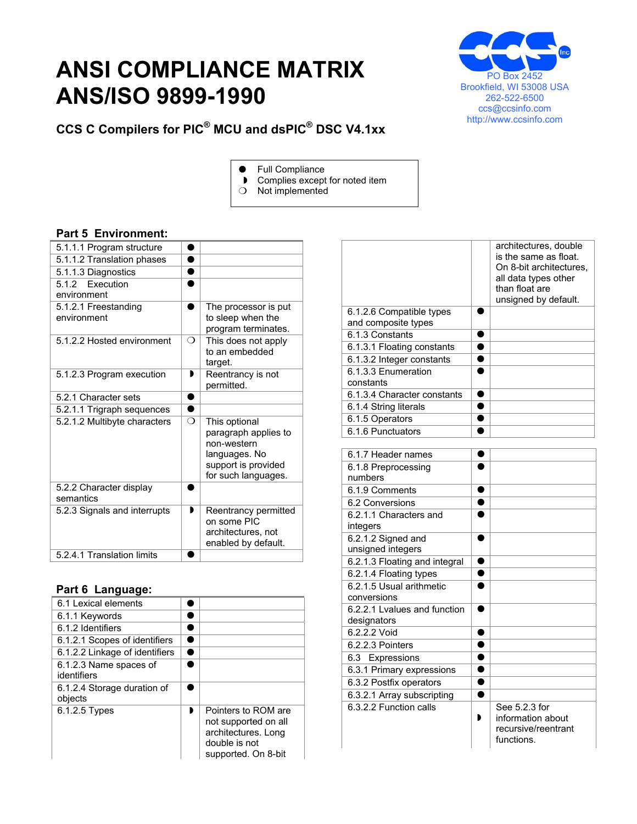## **ANSI COMPLIANCE MATRIX ANS/ISO 9899-1990**



**CCS C Compilers for PIC® MCU and dsPIC® DSC V4.1xx** 

- **•** Full Compliance
- Complies except for noted item
- $O$  Not implemented

## **Part 5 Environment:**

| 5.1.1.1 Program structure            |          |                                                                                                                     |
|--------------------------------------|----------|---------------------------------------------------------------------------------------------------------------------|
| 5.1.1.2 Translation phases           |          |                                                                                                                     |
| 5.1.1.3 Diagnostics                  |          |                                                                                                                     |
| 5.1.2 Execution<br>environment       |          |                                                                                                                     |
| 5.1.2.1 Freestanding<br>environment  |          | The processor is put<br>to sleep when the<br>program terminates.                                                    |
| 5.1.2.2 Hosted environment           | ∩        | This does not apply<br>to an embedded<br>target.                                                                    |
| 5.1.2.3 Program execution            | ,        | Reentrancy is not<br>permitted.                                                                                     |
| 5.2.1 Character sets                 |          |                                                                                                                     |
| 5.2.1.1 Trigraph sequences           |          |                                                                                                                     |
| 5.2.1.2 Multibyte characters         | $\Omega$ | This optional<br>paragraph applies to<br>non-western<br>languages. No<br>support is provided<br>for such languages. |
| 5.2.2 Character display<br>semantics |          |                                                                                                                     |
| 5.2.3 Signals and interrupts         |          | Reentrancy permitted<br>on some PIC<br>architectures, not<br>enabled by default.                                    |
| 5.2.4.1 Translation limits           |          |                                                                                                                     |
|                                      |          |                                                                                                                     |

## **Part 6 Language:**

| 6.1 Lexical elements                   |                                                                                                            |
|----------------------------------------|------------------------------------------------------------------------------------------------------------|
| 6.1.1 Keywords                         |                                                                                                            |
| 6.1.2 Identifiers                      |                                                                                                            |
| 6.1.2.1 Scopes of identifiers          |                                                                                                            |
| 6.1.2.2 Linkage of identifiers         |                                                                                                            |
| 6.1.2.3 Name spaces of<br>identifiers  |                                                                                                            |
| 6.1.2.4 Storage duration of<br>objects |                                                                                                            |
| 6.1.2.5 Types                          | Pointers to ROM are<br>not supported on all<br>architectures. Long<br>double is not<br>supported. On 8-bit |

|                                                 | architectures, double<br>is the same as float.<br>On 8-bit architectures.<br>all data types other<br>than float are<br>unsigned by default. |
|-------------------------------------------------|---------------------------------------------------------------------------------------------------------------------------------------------|
| 6.1.2.6 Compatible types<br>and composite types |                                                                                                                                             |
| 6.1.3 Constants                                 |                                                                                                                                             |
| 6.1.3.1 Floating constants                      |                                                                                                                                             |
| 6.1.3.2 Integer constants                       |                                                                                                                                             |
| 6.1.3.3 Enumeration<br>constants                |                                                                                                                                             |
| 6.1.3.4 Character constants                     |                                                                                                                                             |
| 6.1.4 String literals                           |                                                                                                                                             |
| 6.1.5 Operators                                 |                                                                                                                                             |
| 6.1.6 Punctuators                               |                                                                                                                                             |

| 6.1.7 Header names            |                     |
|-------------------------------|---------------------|
| 6.1.8 Preprocessing           |                     |
| numbers                       |                     |
| 6.1.9 Comments                |                     |
| 6.2 Conversions               |                     |
| 6.2.1.1 Characters and        |                     |
| integers                      |                     |
| 6.2.1.2 Signed and            |                     |
| unsigned integers             |                     |
| 6.2.1.3 Floating and integral |                     |
| 6.2.1.4 Floating types        |                     |
| 6.2.1.5 Usual arithmetic      |                     |
| conversions                   |                     |
| 6.2.2.1 Lyalues and function  |                     |
| designators                   |                     |
| 6.2.2.2 Void                  |                     |
| 6.2.2.3 Pointers              |                     |
| 6.3 Expressions               |                     |
| 6.3.1 Primary expressions     |                     |
| 6.3.2 Postfix operators       |                     |
| 6.3.2.1 Array subscripting    |                     |
| 6.3.2.2 Function calls        | See 5.2.3 for       |
|                               | information about   |
|                               | recursive/reentrant |
|                               | functions.          |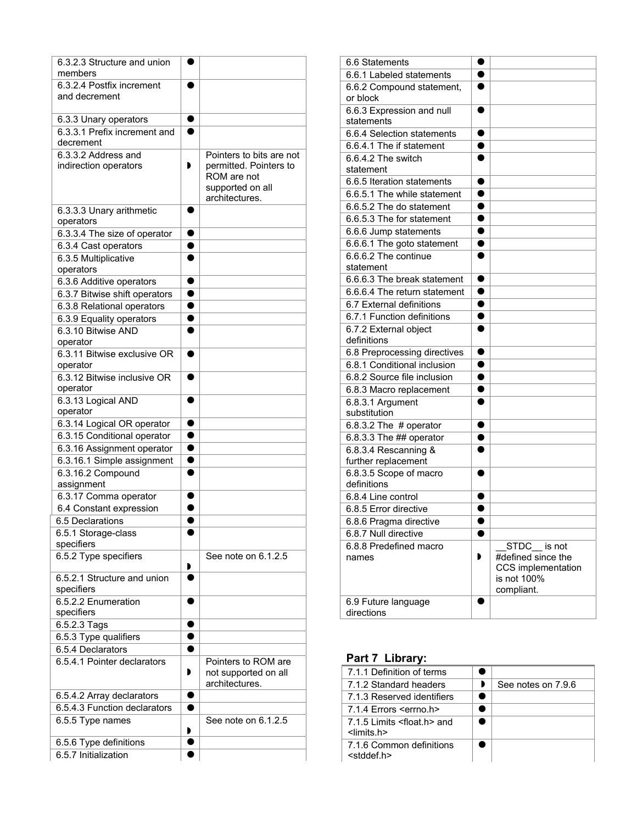| 6.3.2.3 Structure and union                               |                        |                                                    |
|-----------------------------------------------------------|------------------------|----------------------------------------------------|
| members                                                   |                        |                                                    |
| 6.3.2.4 Postfix increment                                 |                        |                                                    |
| and decrement                                             |                        |                                                    |
|                                                           |                        |                                                    |
| 6.3.3 Unary operators                                     |                        |                                                    |
| 6.3.3.1 Prefix increment and<br>decrement                 |                        |                                                    |
|                                                           |                        |                                                    |
| 6.3.3.2 Address and<br>indirection operators              | Þ                      | Pointers to bits are not<br>permitted. Pointers to |
|                                                           |                        | ROM are not                                        |
|                                                           |                        | supported on all                                   |
|                                                           |                        | architectures.                                     |
| 6.3.3.3 Unary arithmetic                                  |                        |                                                    |
| operators                                                 |                        |                                                    |
| 6.3.3.4 The size of operator                              | $\bullet$              |                                                    |
| 6.3.4 Cast operators                                      | $\bullet$              |                                                    |
| 6.3.5 Multiplicative                                      | $\bullet$              |                                                    |
| operators                                                 |                        |                                                    |
| 6.3.6 Additive operators                                  | $\bullet$              |                                                    |
| 6.3.7 Bitwise shift operators                             | 0                      |                                                    |
| 6.3.8 Relational operators                                | $\bullet$              |                                                    |
| 6.3.9 Equality operators                                  | $\bullet$              |                                                    |
| 6.3.10 Bitwise AND                                        | ●                      |                                                    |
| operator                                                  |                        |                                                    |
| 6.3.11 Bitwise exclusive OR                               |                        |                                                    |
| operator                                                  |                        |                                                    |
| 6.3.12 Bitwise inclusive OR                               | $\bullet$              |                                                    |
| operator                                                  |                        |                                                    |
| 6.3.13 Logical AND                                        |                        |                                                    |
| operator                                                  |                        |                                                    |
| 6.3.14 Logical OR operator                                |                        |                                                    |
| 6.3.15 Conditional operator                               | $\bullet$              |                                                    |
| 6.3.16 Assignment operator                                | $\bullet$<br>$\bullet$ |                                                    |
| 6.3.16.1 Simple assignment                                |                        |                                                    |
| 6.3.16.2 Compound                                         |                        |                                                    |
| assignment                                                | 0                      |                                                    |
| 6.3.17 Comma operator                                     |                        |                                                    |
| 6.4 Constant expression<br>6.5 Declarations               |                        |                                                    |
|                                                           |                        |                                                    |
| 6.5.1 Storage-class<br>specifiers                         |                        |                                                    |
| 6.5.2 Type specifiers                                     |                        | See note on 6.1.2.5                                |
|                                                           |                        |                                                    |
| 6.5.2.1 Structure and union                               |                        |                                                    |
| specifiers                                                |                        |                                                    |
| 6.5.2.2 Enumeration                                       |                        |                                                    |
| specifiers                                                |                        |                                                    |
| 6.5.2.3 Tags                                              |                        |                                                    |
| 6.5.3 Type qualifiers                                     |                        |                                                    |
| 6.5.4 Declarators                                         |                        |                                                    |
| 6.5.4.1 Pointer declarators                               |                        | Pointers to ROM are                                |
|                                                           | Ð                      | not supported on all<br>architectures.             |
|                                                           |                        |                                                    |
| 6.5.4.2 Array declarators<br>6.5.4.3 Function declarators |                        |                                                    |
| 6.5.5 Type names                                          |                        | See note on 6.1.2.5                                |
|                                                           | Đ                      |                                                    |
| 6.5.6 Type definitions                                    |                        |                                                    |
| 6.5.7 Initialization                                      |                        |                                                    |
|                                                           |                        |                                                    |

| 6.6 Statements                                              |                        |                                   |
|-------------------------------------------------------------|------------------------|-----------------------------------|
| 6.6.1 Labeled statements                                    |                        |                                   |
| 6.6.2 Compound statement,                                   |                        |                                   |
| or block                                                    |                        |                                   |
| 6.6.3 Expression and null                                   | $\bullet$              |                                   |
| statements                                                  |                        |                                   |
| 6.6.4 Selection statements                                  | $\bullet$              |                                   |
| 6.6.4.1 The if statement                                    | ●                      |                                   |
| 6.6.4.2 The switch                                          | ●                      |                                   |
| statement                                                   |                        |                                   |
| 6.6.5 Iteration statements                                  |                        |                                   |
| 6.6.5.1 The while statement                                 |                        |                                   |
| 6.6.5.2 The do statement                                    |                        |                                   |
| 6.6.5.3 The for statement                                   |                        |                                   |
| 6.6.6 Jump statements                                       | $\bullet$              |                                   |
| 6.6.6.1 The goto statement                                  | $\bullet$              |                                   |
| 6.6.6.2 The continue                                        | $\bullet$              |                                   |
| statement                                                   |                        |                                   |
| 6.6.6.3 The break statement                                 | $\bullet$              |                                   |
| 6.6.6.4 The return statement                                | $\bullet$              |                                   |
| 6.7 External definitions                                    | $\bullet$              |                                   |
| 6.7.1 Function definitions                                  | $\bullet$              |                                   |
| 6.7.2 External object<br>definitions                        | $\bullet$              |                                   |
|                                                             |                        |                                   |
| 6.8 Preprocessing directives<br>6.8.1 Conditional inclusion | $\bullet$<br>$\bullet$ |                                   |
| 6.8.2 Source file inclusion                                 | $\bullet$              |                                   |
|                                                             | $\bullet$              |                                   |
| 6.8.3 Macro replacement<br>$6.8.3.1$ Argument               | ●                      |                                   |
| substitution                                                |                        |                                   |
| 6.8.3.2 The $#$ operator                                    |                        |                                   |
| 6.8.3.3 The ## operator                                     |                        |                                   |
| 6.8.3.4 Rescanning &                                        | ●                      |                                   |
| further replacement                                         |                        |                                   |
| 6.8.3.5 Scope of macro                                      |                        |                                   |
| definitions                                                 |                        |                                   |
| 6.8.4 Line control                                          |                        |                                   |
| 6.8.5 Error directive                                       |                        |                                   |
| 6.8.6 Pragma directive                                      |                        |                                   |
| 6.8.7 Null directive                                        | $\bullet$              |                                   |
| 6.8.8 Predefined macro                                      |                        | STDC is not                       |
| names                                                       |                        | #defined since the                |
|                                                             |                        | CCS implementation<br>is not 100% |
|                                                             |                        | compliant.                        |
| 6.9 Future language                                         |                        |                                   |
| directions                                                  |                        |                                   |

## **Part 7 Library:**

| 7.1.1 Definition of terms                                             |                    |
|-----------------------------------------------------------------------|--------------------|
| 7.1.2 Standard headers                                                | See notes on 7.9.6 |
| 7.1.3 Reserved identifiers                                            |                    |
| 7.1.4 Errors <errno.h></errno.h>                                      |                    |
| 7.1.5 Limits <float.h> and<br/><math>\le</math>limits.h&gt;</float.h> |                    |
| 7.1.6 Common definitions<br>$<$ stddef.h $>$                          |                    |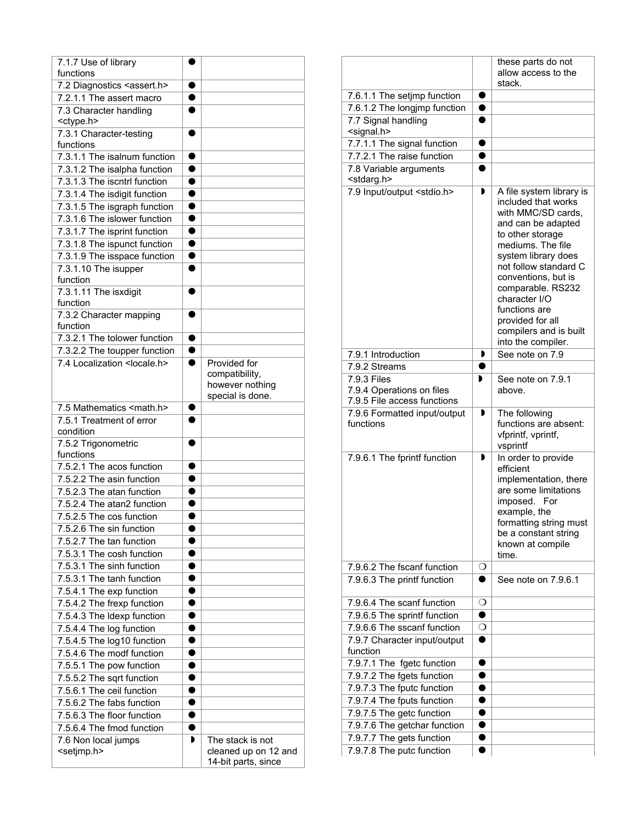| 7.1.7 Use of library<br>functions            |                |                                                                       |
|----------------------------------------------|----------------|-----------------------------------------------------------------------|
| 7.2 Diagnostics <assert.h></assert.h>        |                |                                                                       |
| 7.2.1.1 The assert macro                     |                |                                                                       |
| 7.3 Character handling                       |                |                                                                       |
| <ctype.h></ctype.h>                          |                |                                                                       |
| 7.3.1 Character-testing                      | ●              |                                                                       |
| functions                                    |                |                                                                       |
| 7.3.1.1 The isalnum function                 | $\bullet$      |                                                                       |
| 7.3.1.2 The isalpha function                 | $\bullet$      |                                                                       |
| 7.3.1.3 The iscntrl function                 | $\bullet$      |                                                                       |
| 7.3.1.4 The isdigit function                 | $\bullet$      |                                                                       |
| 7.3.1.5 The isgraph function                 | $\bullet$      |                                                                       |
| 7.3.1.6 The islower function                 | $\bullet$      |                                                                       |
| 7.3.1.7 The isprint function                 | $\bullet$      |                                                                       |
| 7.3.1.8 The ispunct function                 | $\bullet$      |                                                                       |
| 7.3.1.9 The isspace function                 |                |                                                                       |
| 7.3.1.10 The isupper                         |                |                                                                       |
| function                                     |                |                                                                       |
| 7.3.1.11 The isxdigit                        |                |                                                                       |
| function                                     |                |                                                                       |
| 7.3.2 Character mapping                      | $\bullet$      |                                                                       |
| function                                     |                |                                                                       |
| 7.3.2.1 The tolower function                 | $\bullet$      |                                                                       |
| 7.3.2.2 The toupper function                 | $\bullet$<br>● |                                                                       |
| 7.4 Localization <locale.h></locale.h>       |                | Provided for<br>compatibility,<br>however nothing<br>special is done. |
| 7.5 Mathematics <math.h></math.h>            | 0              |                                                                       |
|                                              |                |                                                                       |
| 7.5.1 Treatment of error                     | ●              |                                                                       |
| condition                                    |                |                                                                       |
| 7.5.2 Trigonometric                          |                |                                                                       |
| functions                                    |                |                                                                       |
| 7.5.2.1 The acos function                    |                |                                                                       |
| 7.5.2.2 The asin function                    |                |                                                                       |
| 7.5.2.3 The atan function                    |                |                                                                       |
| 7.5.2.4 The atan2 function                   |                |                                                                       |
| 7.5.2.5 The cos function                     |                |                                                                       |
| 7.5.2.6 The sin function                     |                |                                                                       |
| 7.5.2.7 The tan function                     |                |                                                                       |
| 7.5.3.1 The cosh function                    |                |                                                                       |
| 7.5.3.1 The sinh function                    | 0              |                                                                       |
| 7.5.3.1 The tanh function                    | ●              |                                                                       |
| 7.5.4.1 The exp function                     |                |                                                                       |
| 7.5.4.2 The frexp function                   | $\bullet$      |                                                                       |
| 7.5.4.3 The Idexp function                   | $\bullet$      |                                                                       |
| 7.5.4.4 The log function                     | $\bullet$      |                                                                       |
| 7.5.4.5 The log10 function                   |                |                                                                       |
| 7.5.4.6 The modf function                    | 0              |                                                                       |
| 7.5.5.1 The pow function                     | 0              |                                                                       |
| 7.5.5.2 The sqrt function                    |                |                                                                       |
| 7.5.6.1 The ceil function                    |                |                                                                       |
| 7.5.6.2 The fabs function                    |                |                                                                       |
| 7.5.6.3 The floor function                   |                |                                                                       |
| 7.5.6.4 The fmod function                    |                |                                                                       |
| 7.6 Non local jumps<br><setjmp.h></setjmp.h> | D              | The stack is not<br>cleaned up on 12 and                              |

|                                                             |                        | these parts do not                                                                                                                                                                                                                                                                                                                     |
|-------------------------------------------------------------|------------------------|----------------------------------------------------------------------------------------------------------------------------------------------------------------------------------------------------------------------------------------------------------------------------------------------------------------------------------------|
|                                                             |                        | allow access to the<br>stack.                                                                                                                                                                                                                                                                                                          |
| 7.6.1.1 The setjmp function<br>7.6.1.2 The longjmp function | $\bullet$<br>$\bullet$ |                                                                                                                                                                                                                                                                                                                                        |
| 7.7 Signal handling                                         | ●                      |                                                                                                                                                                                                                                                                                                                                        |
| <signal.h></signal.h>                                       |                        |                                                                                                                                                                                                                                                                                                                                        |
| 7.7.1.1 The signal function                                 |                        |                                                                                                                                                                                                                                                                                                                                        |
| 7.7.2.1 The raise function                                  | ●                      |                                                                                                                                                                                                                                                                                                                                        |
| 7.8 Variable arguments<br><stdarg.h></stdarg.h>             | ●                      |                                                                                                                                                                                                                                                                                                                                        |
| 7.9 Input/output <stdio.h></stdio.h>                        | ▶                      | A file system library is<br>included that works<br>with MMC/SD cards,<br>and can be adapted<br>to other storage<br>mediums. The file<br>system library does<br>not follow standard C<br>conventions, but is<br>comparable. RS232<br>character I/O<br>functions are<br>provided for all<br>compilers and is built<br>into the compiler. |
| 7.9.1 Introduction                                          | Þ                      | See note on 7.9                                                                                                                                                                                                                                                                                                                        |
| 7.9.2 Streams                                               | ●                      |                                                                                                                                                                                                                                                                                                                                        |
| 7.9.3 Files                                                 | D                      | See note on 7.9.1                                                                                                                                                                                                                                                                                                                      |
| 7.9.4 Operations on files<br>7.9.5 File access functions    |                        | above.                                                                                                                                                                                                                                                                                                                                 |
| 7.9.6 Formatted input/output<br>functions                   | D                      | The following<br>functions are absent:<br>vfprintf, vprintf,<br>vsprintf                                                                                                                                                                                                                                                               |
| 7.9.6.1 The fprintf function                                | Þ                      | In order to provide<br>efficient<br>implementation, there<br>are some limitations<br>imposed. For<br>example, the<br>formatting string must<br>be a constant string<br>known at compile<br>time.                                                                                                                                       |
| 7.9.6.2 The fscanf function                                 | О                      |                                                                                                                                                                                                                                                                                                                                        |
| 7.9.6.3 The printf function                                 |                        | See note on 7.9.6.1                                                                                                                                                                                                                                                                                                                    |
| 7.9.6.4 The scanf function                                  | $\circ$                |                                                                                                                                                                                                                                                                                                                                        |
| 7.9.6.5 The sprintf function                                | $\bullet$              |                                                                                                                                                                                                                                                                                                                                        |
| 7.9.6.6 The sscanf function                                 | O                      |                                                                                                                                                                                                                                                                                                                                        |
| 7.9.7 Character input/output                                | ●                      |                                                                                                                                                                                                                                                                                                                                        |
| function                                                    |                        |                                                                                                                                                                                                                                                                                                                                        |
| 7.9.7.1 The fgetc function                                  | $\bullet$              |                                                                                                                                                                                                                                                                                                                                        |
| 7.9.7.2 The fgets function                                  | 0                      |                                                                                                                                                                                                                                                                                                                                        |
| 7.9.7.3 The fputc function                                  |                        |                                                                                                                                                                                                                                                                                                                                        |
| 7.9.7.4 The fputs function                                  |                        |                                                                                                                                                                                                                                                                                                                                        |
| 7.9.7.5 The getc function                                   | $\bullet$              |                                                                                                                                                                                                                                                                                                                                        |
| 7.9.7.6 The getchar function<br>7.9.7.7 The gets function   |                        |                                                                                                                                                                                                                                                                                                                                        |
| 7.9.7.8 The putc function                                   |                        |                                                                                                                                                                                                                                                                                                                                        |
|                                                             |                        |                                                                                                                                                                                                                                                                                                                                        |